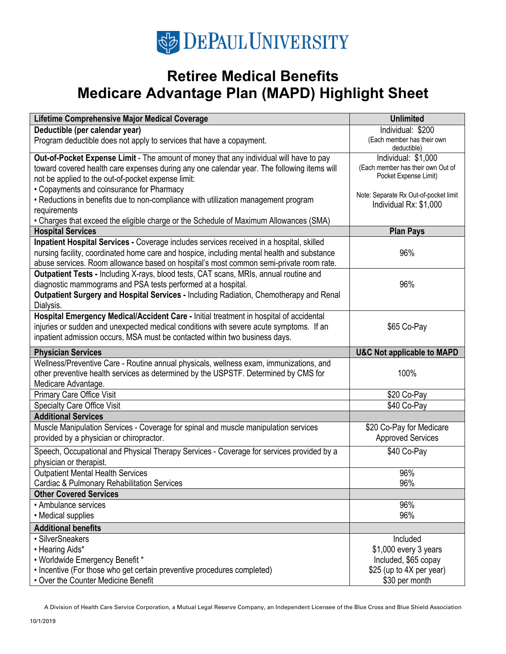# **SE DEPAUL UNIVERSITY**

## **Retiree Medical Benefits Medicare Advantage Plan (MAPD) Highlight Sheet**

| Lifetime Comprehensive Major Medical Coverage                                                              | <b>Unlimited</b>                                 |
|------------------------------------------------------------------------------------------------------------|--------------------------------------------------|
| Deductible (per calendar year)                                                                             | Individual: \$200                                |
| Program deductible does not apply to services that have a copayment.                                       | (Each member has their own<br>deductible)        |
| Out-of-Pocket Expense Limit - The amount of money that any individual will have to pay                     | Individual: \$1,000                              |
| toward covered health care expenses during any one calendar year. The following items will                 | (Each member has their own Out of                |
| not be applied to the out-of-pocket expense limit:                                                         | Pocket Expense Limit)                            |
| • Copayments and coinsurance for Pharmacy                                                                  | Note: Separate Rx Out-of-pocket limit            |
| • Reductions in benefits due to non-compliance with utilization management program                         | Individual Rx: \$1,000                           |
| requirements<br>• Charges that exceed the eligible charge or the Schedule of Maximum Allowances (SMA)      |                                                  |
| <b>Hospital Services</b>                                                                                   | <b>Plan Pays</b>                                 |
| Inpatient Hospital Services - Coverage includes services received in a hospital, skilled                   |                                                  |
| nursing facility, coordinated home care and hospice, including mental health and substance                 | 96%                                              |
| abuse services. Room allowance based on hospital's most common semi-private room rate.                     |                                                  |
| Outpatient Tests - Including X-rays, blood tests, CAT scans, MRIs, annual routine and                      |                                                  |
| diagnostic mammograms and PSA tests performed at a hospital.                                               | 96%                                              |
| Outpatient Surgery and Hospital Services - Including Radiation, Chemotherapy and Renal                     |                                                  |
| Dialysis.                                                                                                  |                                                  |
| Hospital Emergency Medical/Accident Care - Initial treatment in hospital of accidental                     |                                                  |
| injuries or sudden and unexpected medical conditions with severe acute symptoms. If an                     | \$65 Co-Pay                                      |
| inpatient admission occurs, MSA must be contacted within two business days.                                |                                                  |
| <b>Physician Services</b>                                                                                  | <b>U&amp;C Not applicable to MAPD</b>            |
| Wellness/Preventive Care - Routine annual physicals, wellness exam, immunizations, and                     |                                                  |
| other preventive health services as determined by the USPSTF. Determined by CMS for                        | 100%                                             |
| Medicare Advantage.                                                                                        |                                                  |
| Primary Care Office Visit<br><b>Specialty Care Office Visit</b>                                            | \$20 Co-Pay<br>\$40 Co-Pay                       |
| <b>Additional Services</b>                                                                                 |                                                  |
| Muscle Manipulation Services - Coverage for spinal and muscle manipulation services                        | \$20 Co-Pay for Medicare                         |
| provided by a physician or chiropractor.                                                                   | <b>Approved Services</b>                         |
| Speech, Occupational and Physical Therapy Services - Coverage for services provided by a                   | \$40 Co-Pay                                      |
| physician or therapist.                                                                                    |                                                  |
| <b>Outpatient Mental Health Services</b>                                                                   | 96%                                              |
| Cardiac & Pulmonary Rehabilitation Services                                                                | 96%                                              |
| <b>Other Covered Services</b>                                                                              |                                                  |
| • Ambulance services                                                                                       | 96%                                              |
| • Medical supplies                                                                                         | 96%                                              |
| <b>Additional benefits</b>                                                                                 |                                                  |
| · SilverSneakers                                                                                           | Included                                         |
| • Hearing Aids*                                                                                            | \$1,000 every 3 years                            |
| • Worldwide Emergency Benefit *<br>• Incentive (For those who get certain preventive procedures completed) | Included, \$65 copay<br>\$25 (up to 4X per year) |
| • Over the Counter Medicine Benefit                                                                        | \$30 per month                                   |
|                                                                                                            |                                                  |

A Division of Health Care Service Corporation, a Mutual Legal Reserve Company, an Independent Licensee of the Blue Cross and Blue Shield Association